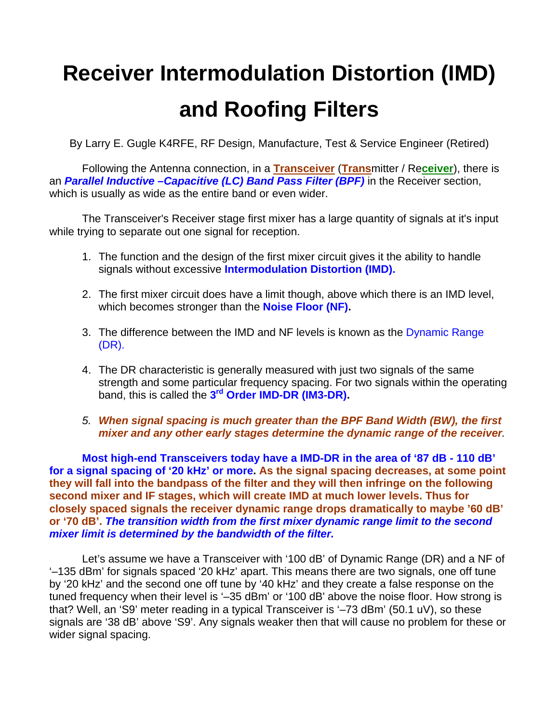## **Receiver Intermodulation Distortion (IMD) and Roofing Filters**

By Larry E. Gugle K4RFE, RF Design, Manufacture, Test & Service Engineer (Retired)

Following the Antenna connection, in a **Transceiver** (**Trans**mitter / Re**ceiver**), there is an *Parallel Inductive –Capacitive (LC) Band Pass Filter (BPF)* in the Receiver section, which is usually as wide as the entire band or even wider.

The Transceiver's Receiver stage first mixer has a large quantity of signals at it's input while trying to separate out one signal for reception.

- 1. The function and the design of the first mixer circuit gives it the ability to handle signals without excessive **Intermodulation Distortion (IMD).**
- 2. The first mixer circuit does have a limit though, above which there is an IMD level, which becomes stronger than the **Noise Floor (NF).**
- 3. The difference between the IMD and NF levels is known as the Dynamic Range (DR).
- 4. The DR characteristic is generally measured with just two signals of the same strength and some particular frequency spacing. For two signals within the operating band, this is called the **3rd Order IMD-DR (IM3-DR).**

## *5. When signal spacing is much greater than the BPF Band Width (BW), the first mixer and any other early stages determine the dynamic range of the receiver.*

**Most high-end Transceivers today have a IMD-DR in the area of '87 dB - 110 dB' for a signal spacing of '20 kHz' or more. As the signal spacing decreases, at some point they will fall into the bandpass of the filter and they will then infringe on the following second mixer and IF stages, which will create IMD at much lower levels. Thus for closely spaced signals the receiver dynamic range drops dramatically to maybe '60 dB' or '70 dB'.** *The transition width from the first mixer dynamic range limit to the second mixer limit is determined by the bandwidth of the filter.*

Let's assume we have a Transceiver with '100 dB' of Dynamic Range (DR) and a NF of '–135 dBm' for signals spaced '20 kHz' apart. This means there are two signals, one off tune by '20 kHz' and the second one off tune by '40 kHz' and they create a false response on the tuned frequency when their level is '–35 dBm' or '100 dB' above the noise floor. How strong is that? Well, an 'S9' meter reading in a typical Transceiver is '–73 dBm' (50.1 uV), so these signals are '38 dB' above 'S9'. Any signals weaker then that will cause no problem for these or wider signal spacing.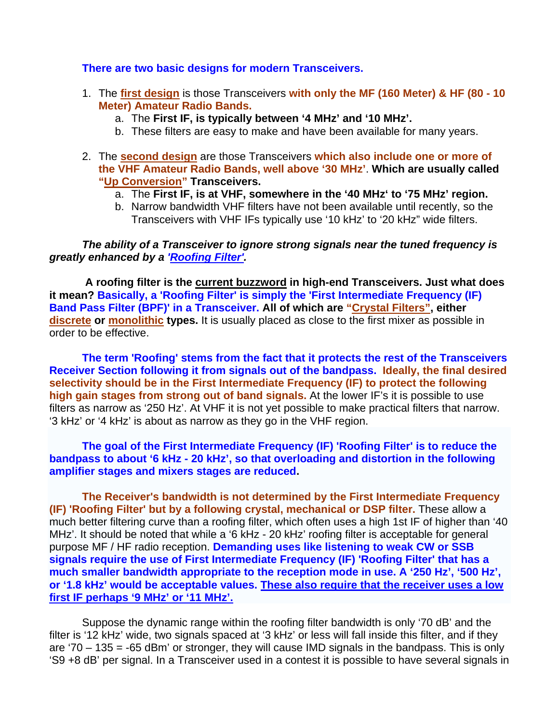## **There are two basic designs for modern Transceivers.**

- 1. The **first design** is those Transceivers **with only the MF (160 Meter) & HF (80 10 Meter) Amateur Radio Bands.**
	- a. The **First IF, is typically between '4 MHz' and '10 MHz'.**
	- b. These filters are easy to make and have been available for many years.
- 2. The **second design** are those Transceivers **which also include one or more of the VHF Amateur Radio Bands, well above '30 MHz'**. **Which are usually called "Up Conversion" Transceivers.**
	- a. The **First IF, is at VHF, somewhere in the '40 MHz' to '75 MHz' region.**
	- b. Narrow bandwidth VHF filters have not been available until recently, so the Transceivers with VHF IFs typically use '10 kHz' to '20 kHz" wide filters.

## *The ability of a Transceiver to ignore strong signals near the tuned frequency is greatly enhanced by a 'Roofing Filter'.*

 **A roofing filter is the current buzzword in high-end Transceivers. Just what does it mean? Basically, a 'Roofing Filter' is simply the 'First Intermediate Frequency (IF) Band Pass Filter (BPF)' in a Transceiver. All of which are "Crystal Filters", either discrete or monolithic types.** It is usually placed as close to the first mixer as possible in order to be effective.

**The term 'Roofing' stems from the fact that it protects the rest of the Transceivers Receiver Section following it from signals out of the bandpass. Ideally, the final desired selectivity should be in the First Intermediate Frequency (IF) to protect the following high gain stages from strong out of band signals.** At the lower IF's it is possible to use filters as narrow as '250 Hz'. At VHF it is not yet possible to make practical filters that narrow. '3 kHz' or '4 kHz' is about as narrow as they go in the VHF region.

**The goal of the First Intermediate Frequency (IF) 'Roofing Filter' is to reduce the bandpass to about '6 kHz - 20 kHz', so that overloading and distortion in the following amplifier stages and mixers stages are reduced.** 

**The Receiver's bandwidth is not determined by the First Intermediate Frequency (IF) 'Roofing Filter' but by a following crystal, mechanical or DSP filter.** These allow a much better filtering curve than a roofing filter, which often uses a high 1st IF of higher than '40 MHz'. It should be noted that while a '6 kHz - 20 kHz' roofing filter is acceptable for general purpose MF / HF radio reception. **Demanding uses like listening to weak CW or SSB signals require the use of First Intermediate Frequency (IF) 'Roofing Filter' that has a much smaller bandwidth appropriate to the reception mode in use. A '250 Hz', '500 Hz', or '1.8 kHz' would be acceptable values. These also require that the receiver uses a low first IF perhaps '9 MHz' or '11 MHz'.**

Suppose the dynamic range within the roofing filter bandwidth is only '70 dB' and the filter is '12 kHz' wide, two signals spaced at '3 kHz' or less will fall inside this filter, and if they are '70 – 135 =  $-65$  dBm' or stronger, they will cause IMD signals in the bandpass. This is only 'S9 +8 dB' per signal. In a Transceiver used in a contest it is possible to have several signals in